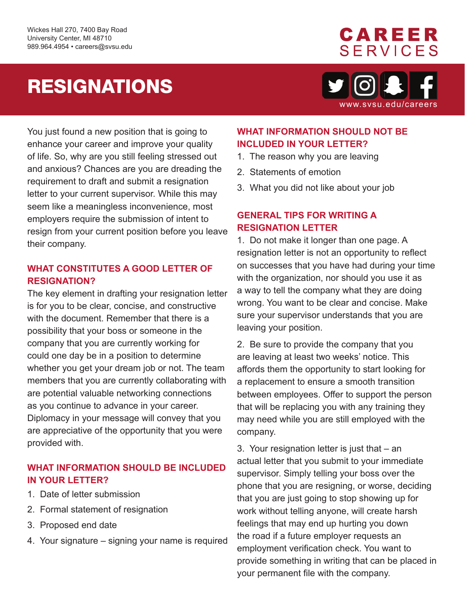# RESIGNATIONS



**CAREER** 

www.svsu.edu/careers

You just found a new position that is going to enhance your career and improve your quality of life. So, why are you still feeling stressed out and anxious? Chances are you are dreading the requirement to draft and submit a resignation letter to your current supervisor. While this may seem like a meaningless inconvenience, most employers require the submission of intent to resign from your current position before you leave their company.

#### **WHAT CONSTITUTES A GOOD LETTER OF RESIGNATION?**

The key element in drafting your resignation letter is for you to be clear, concise, and constructive with the document. Remember that there is a possibility that your boss or someone in the company that you are currently working for could one day be in a position to determine whether you get your dream job or not. The team members that you are currently collaborating with are potential valuable networking connections as you continue to advance in your career. Diplomacy in your message will convey that you are appreciative of the opportunity that you were provided with.

### **WHAT INFORMATION SHOULD BE INCLUDED IN YOUR LETTER?**

- 1. Date of letter submission
- 2. Formal statement of resignation
- 3. Proposed end date
- 4. Your signature signing your name is required

### **WHAT INFORMATION SHOULD NOT BE INCLUDED IN YOUR LETTER?**

- 1. The reason why you are leaving
- 2. Statements of emotion
- 3. What you did not like about your job

#### **GENERAL TIPS FOR WRITING A RESIGNATION LETTER**

1. Do not make it longer than one page. A resignation letter is not an opportunity to reflect on successes that you have had during your time with the organization, nor should you use it as a way to tell the company what they are doing wrong. You want to be clear and concise. Make sure your supervisor understands that you are leaving your position.

2. Be sure to provide the company that you are leaving at least two weeks' notice. This affords them the opportunity to start looking for a replacement to ensure a smooth transition between employees. Offer to support the person that will be replacing you with any training they may need while you are still employed with the company.

3. Your resignation letter is just that – an actual letter that you submit to your immediate supervisor. Simply telling your boss over the phone that you are resigning, or worse, deciding that you are just going to stop showing up for work without telling anyone, will create harsh feelings that may end up hurting you down the road if a future employer requests an employment verification check. You want to provide something in writing that can be placed in your permanent file with the company.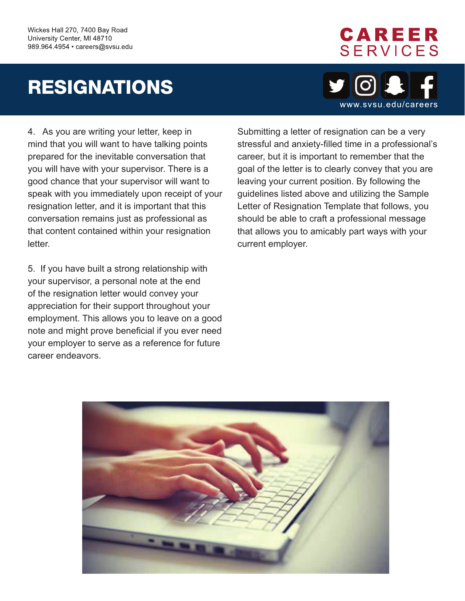## RESIGNATIONS



CAREER

**SERVICES** 

4. As you are writing your letter, keep in mind that you will want to have talking points prepared for the inevitable conversation that you will have with your supervisor. There is a good chance that your supervisor will want to speak with you immediately upon receipt of your resignation letter, and it is important that this conversation remains just as professional as that content contained within your resignation letter.

5. If you have built a strong relationship with your supervisor, a personal note at the end of the resignation letter would convey your appreciation for their support throughout your employment. This allows you to leave on a good note and might prove beneficial if you ever need your employer to serve as a reference for future career endeavors.

Submitting a letter of resignation can be a very stressful and anxiety-filled time in a professional's career, but it is important to remember that the goal of the letter is to clearly convey that you are leaving your current position. By following the guidelines listed above and utilizing the Sample Letter of Resignation Template that follows, you should be able to craft a professional message that allows you to amicably part ways with your current employer.